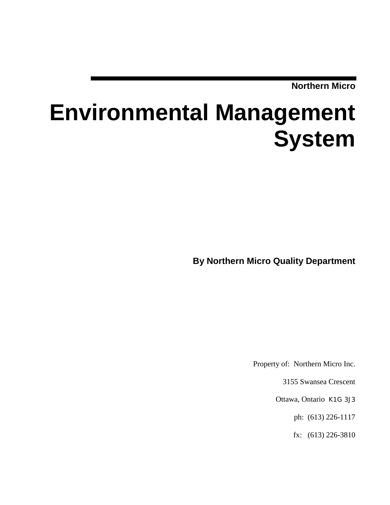**Northern Micro**

# **Environmental Management System**

**By Northern Micro Quality Department**

Property of: Northern Micro Inc.

3155 Swansea Crescent

Ottawa, Ontario K1G 3J3

ph: (613) 226-1117

fx: (613) 226-3810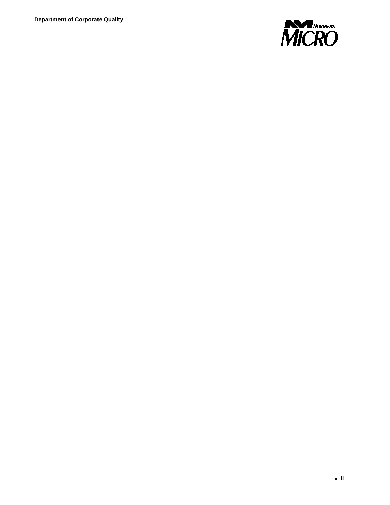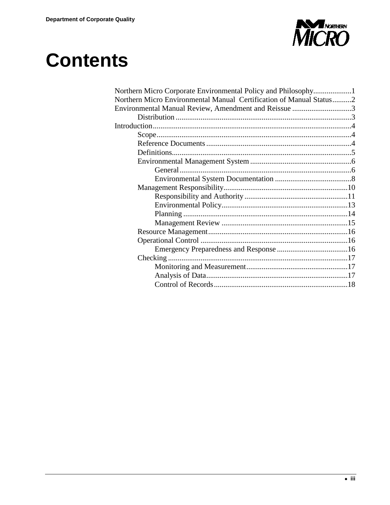

# **Contents**

| Northern Micro Corporate Environmental Policy and Philosophy1       |  |
|---------------------------------------------------------------------|--|
| Northern Micro Environmental Manual Certification of Manual Status2 |  |
| Environmental Manual Review, Amendment and Reissue 3                |  |
|                                                                     |  |
|                                                                     |  |
|                                                                     |  |
|                                                                     |  |
|                                                                     |  |
|                                                                     |  |
|                                                                     |  |
|                                                                     |  |
|                                                                     |  |
|                                                                     |  |
|                                                                     |  |
|                                                                     |  |
|                                                                     |  |
|                                                                     |  |
|                                                                     |  |
|                                                                     |  |
|                                                                     |  |
|                                                                     |  |
|                                                                     |  |
|                                                                     |  |
|                                                                     |  |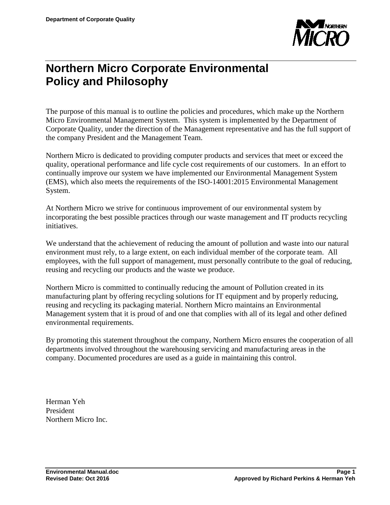

# **Northern Micro Corporate Environmental Policy and Philosophy**

The purpose of this manual is to outline the policies and procedures, which make up the Northern Micro Environmental Management System. This system is implemented by the Department of Corporate Quality, under the direction of the Management representative and has the full support of the company President and the Management Team.

Northern Micro is dedicated to providing computer products and services that meet or exceed the quality, operational performance and life cycle cost requirements of our customers. In an effort to continually improve our system we have implemented our Environmental Management System (EMS), which also meets the requirements of the ISO-14001:2015 Environmental Management System.

At Northern Micro we strive for continuous improvement of our environmental system by incorporating the best possible practices through our waste management and IT products recycling initiatives.

We understand that the achievement of reducing the amount of pollution and waste into our natural environment must rely, to a large extent, on each individual member of the corporate team. All employees, with the full support of management, must personally contribute to the goal of reducing, reusing and recycling our products and the waste we produce.

Northern Micro is committed to continually reducing the amount of Pollution created in its manufacturing plant by offering recycling solutions for IT equipment and by properly reducing, reusing and recycling its packaging material. Northern Micro maintains an Environmental Management system that it is proud of and one that complies with all of its legal and other defined environmental requirements.

By promoting this statement throughout the company, Northern Micro ensures the cooperation of all departments involved throughout the warehousing servicing and manufacturing areas in the company. Documented procedures are used as a guide in maintaining this control.

Herman Yeh President Northern Micro Inc.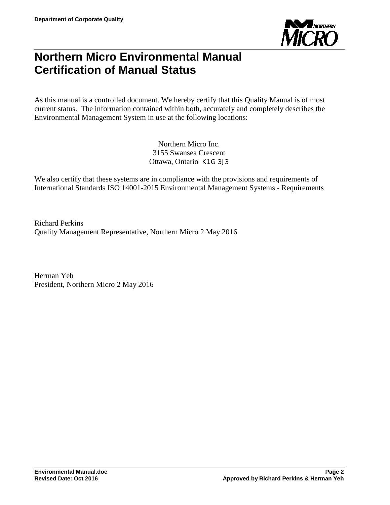

# **Northern Micro Environmental Manual Certification of Manual Status**

As this manual is a controlled document. We hereby certify that this Quality Manual is of most current status. The information contained within both, accurately and completely describes the Environmental Management System in use at the following locations:

> Northern Micro Inc. 3155 Swansea Crescent Ottawa, Ontario K1G 3J3

We also certify that these systems are in compliance with the provisions and requirements of International Standards ISO 14001-2015 Environmental Management Systems - Requirements

Richard Perkins Quality Management Representative, Northern Micro 2 May 2016

Herman Yeh President, Northern Micro 2 May 2016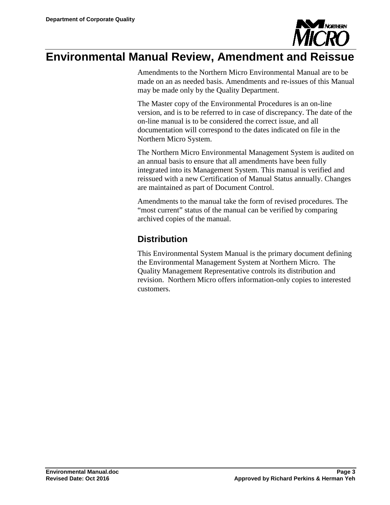

# **Environmental Manual Review, Amendment and Reissue**

Amendments to the Northern Micro Environmental Manual are to be made on an as needed basis. Amendments and re-issues of this Manual may be made only by the Quality Department.

The Master copy of the Environmental Procedures is an on-line version, and is to be referred to in case of discrepancy. The date of the on-line manual is to be considered the correct issue, and all documentation will correspond to the dates indicated on file in the Northern Micro System.

The Northern Micro Environmental Management System is audited on an annual basis to ensure that all amendments have been fully integrated into its Management System. This manual is verified and reissued with a new Certification of Manual Status annually. Changes are maintained as part of Document Control.

Amendments to the manual take the form of revised procedures. The "most current" status of the manual can be verified by comparing archived copies of the manual.

## **Distribution**

This Environmental System Manual is the primary document defining the Environmental Management System at Northern Micro. The Quality Management Representative controls its distribution and revision. Northern Micro offers information-only copies to interested customers.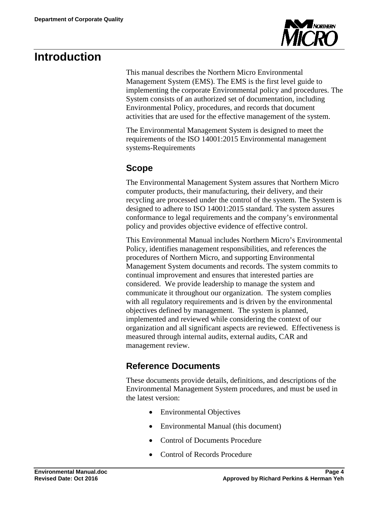# **Introduction**



This manual describes the Northern Micro Environmental Management System (EMS). The EMS is the first level guide to implementing the corporate Environmental policy and procedures. The System consists of an authorized set of documentation, including Environmental Policy, procedures, and records that document activities that are used for the effective management of the system.

The Environmental Management System is designed to meet the requirements of the ISO 14001:2015 Environmental management systems-Requirements

## **Scope**

The Environmental Management System assures that Northern Micro computer products, their manufacturing, their delivery, and their recycling are processed under the control of the system. The System is designed to adhere to ISO 14001:2015 standard. The system assures conformance to legal requirements and the company's environmental policy and provides objective evidence of effective control.

This Environmental Manual includes Northern Micro's Environmental Policy, identifies management responsibilities, and references the procedures of Northern Micro, and supporting Environmental Management System documents and records. The system commits to continual improvement and ensures that interested parties are considered. We provide leadership to manage the system and communicate it throughout our organization. The system complies with all regulatory requirements and is driven by the environmental objectives defined by management. The system is planned, implemented and reviewed while considering the context of our organization and all significant aspects are reviewed. Effectiveness is measured through internal audits, external audits, CAR and management review.

## **Reference Documents**

These documents provide details, definitions, and descriptions of the Environmental Management System procedures, and must be used in the latest version:

- Environmental Objectives
- Environmental Manual (this document)
- Control of Documents Procedure
- Control of Records Procedure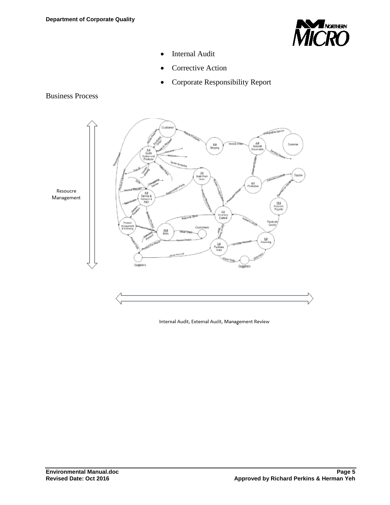

- Internal Audit
- Corrective Action
- Corporate Responsibility Report





Internal Audit, External Audit, Management Review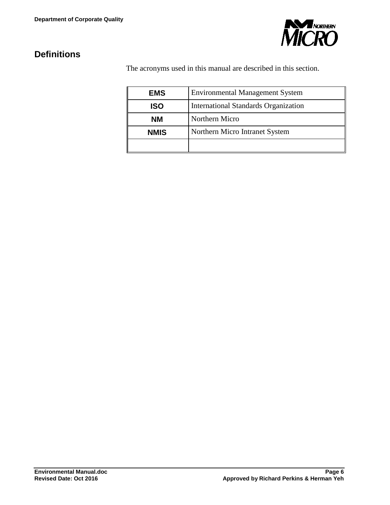

## **Definitions**

The acronyms used in this manual are described in this section.

| <b>EMS</b>  | <b>Environmental Management System</b>      |
|-------------|---------------------------------------------|
| <b>ISO</b>  | <b>International Standards Organization</b> |
| <b>NM</b>   | Northern Micro                              |
| <b>NMIS</b> | Northern Micro Intranet System              |
|             |                                             |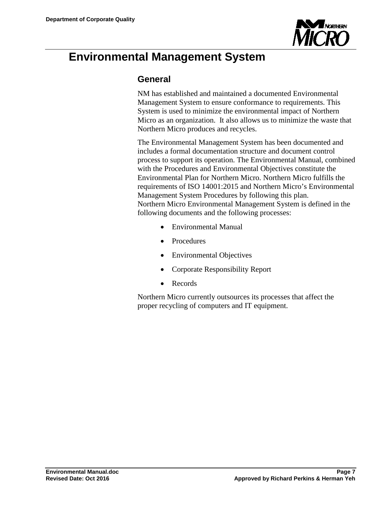

# **Environmental Management System**

#### **General**

NM has established and maintained a documented Environmental Management System to ensure conformance to requirements. This System is used to minimize the environmental impact of Northern Micro as an organization. It also allows us to minimize the waste that Northern Micro produces and recycles.

The Environmental Management System has been documented and includes a formal documentation structure and document control process to support its operation. The Environmental Manual, combined with the Procedures and Environmental Objectives constitute the Environmental Plan for Northern Micro. Northern Micro fulfills the requirements of ISO 14001:2015 and Northern Micro's Environmental Management System Procedures by following this plan. Northern Micro Environmental Management System is defined in the following documents and the following processes:

- Environmental Manual
- Procedures
- Environmental Objectives
- Corporate Responsibility Report
- Records

Northern Micro currently outsources its processes that affect the proper recycling of computers and IT equipment.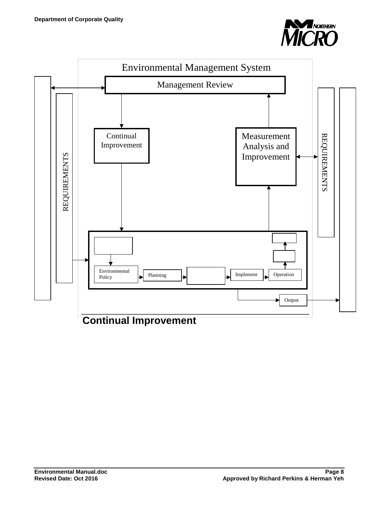

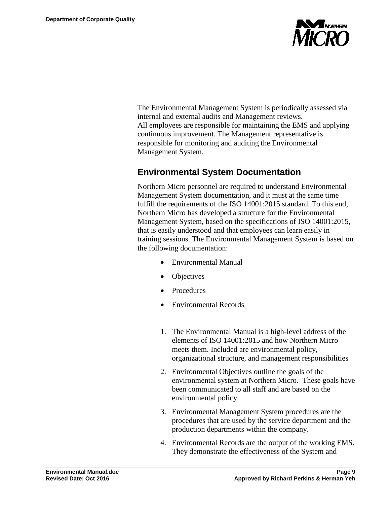

The Environmental Management System is periodically assessed via internal and external audits and Management reviews. All employees are responsible for maintaining the EMS and applying continuous improvement. The Management representative is responsible for monitoring and auditing the Environmental Management System.

## **Environmental System Documentation**

Northern Micro personnel are required to understand Environmental Management System documentation, and it must at the same time fulfill the requirements of the ISO 14001:2015 standard. To this end, Northern Micro has developed a structure for the Environmental Management System, based on the specifications of ISO 14001:2015, that is easily understood and that employees can learn easily in training sessions. The Environmental Management System is based on the following documentation:

- Environmental Manual
- **Objectives**
- **Procedures**
- Environmental Records
- 1. The Environmental Manual is a high-level address of the elements of ISO 14001:2015 and how Northern Micro meets them. Included are environmental policy, organizational structure, and management responsibilities
- 2. Environmental Objectives outline the goals of the environmental system at Northern Micro. These goals have been communicated to all staff and are based on the environmental policy.
- 3. Environmental Management System procedures are the procedures that are used by the service department and the production departments within the company.
- 4. Environmental Records are the output of the working EMS. They demonstrate the effectiveness of the System and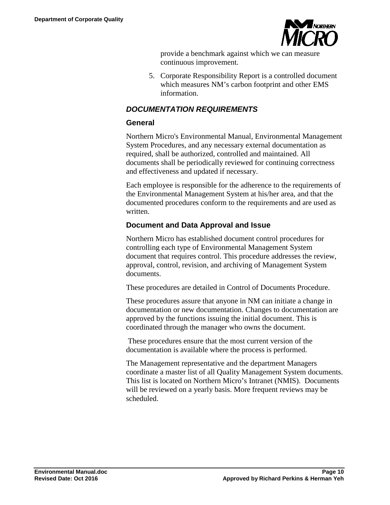

provide a benchmark against which we can measure continuous improvement.

5. Corporate Responsibility Report is a controlled document which measures NM's carbon footprint and other EMS information.

#### *DOCUMENTATION REQUIREMENTS*

#### **General**

Northern Micro's Environmental Manual, Environmental Management System Procedures, and any necessary external documentation as required, shall be authorized, controlled and maintained. All documents shall be periodically reviewed for continuing correctness and effectiveness and updated if necessary.

Each employee is responsible for the adherence to the requirements of the Environmental Management System at his/her area, and that the documented procedures conform to the requirements and are used as written.

#### **Document and Data Approval and Issue**

Northern Micro has established document control procedures for controlling each type of Environmental Management System document that requires control. This procedure addresses the review, approval, control, revision, and archiving of Management System documents.

These procedures are detailed in Control of Documents Procedure.

These procedures assure that anyone in NM can initiate a change in documentation or new documentation. Changes to documentation are approved by the functions issuing the initial document. This is coordinated through the manager who owns the document.

These procedures ensure that the most current version of the documentation is available where the process is performed.

The Management representative and the department Managers coordinate a master list of all Quality Management System documents. This list is located on Northern Micro's Intranet (NMIS). Documents will be reviewed on a yearly basis. More frequent reviews may be scheduled.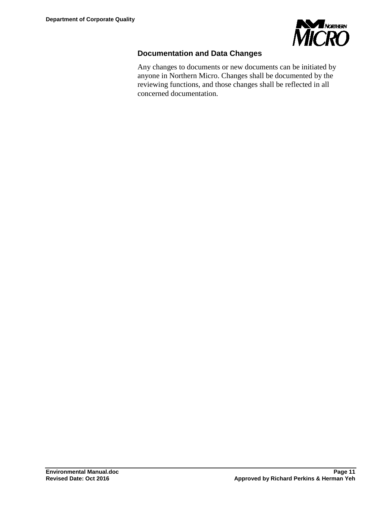

#### **Documentation and Data Changes**

Any changes to documents or new documents can be initiated by anyone in Northern Micro. Changes shall be documented by the reviewing functions, and those changes shall be reflected in all concerned documentation.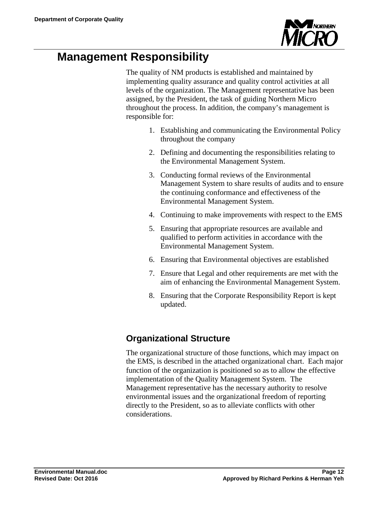

# **Management Responsibility**

The quality of NM products is established and maintained by implementing quality assurance and quality control activities at all levels of the organization. The Management representative has been assigned, by the President, the task of guiding Northern Micro throughout the process. In addition, the company's management is responsible for:

- 1. Establishing and communicating the Environmental Policy throughout the company
- 2. Defining and documenting the responsibilities relating to the Environmental Management System.
- 3. Conducting formal reviews of the Environmental Management System to share results of audits and to ensure the continuing conformance and effectiveness of the Environmental Management System.
- 4. Continuing to make improvements with respect to the EMS
- 5. Ensuring that appropriate resources are available and qualified to perform activities in accordance with the Environmental Management System.
- 6. Ensuring that Environmental objectives are established
- 7. Ensure that Legal and other requirements are met with the aim of enhancing the Environmental Management System.
- 8. Ensuring that the Corporate Responsibility Report is kept updated.

## **Organizational Structure**

The organizational structure of those functions, which may impact on the EMS, is described in the attached organizational chart. Each major function of the organization is positioned so as to allow the effective implementation of the Quality Management System. The Management representative has the necessary authority to resolve environmental issues and the organizational freedom of reporting directly to the President, so as to alleviate conflicts with other considerations.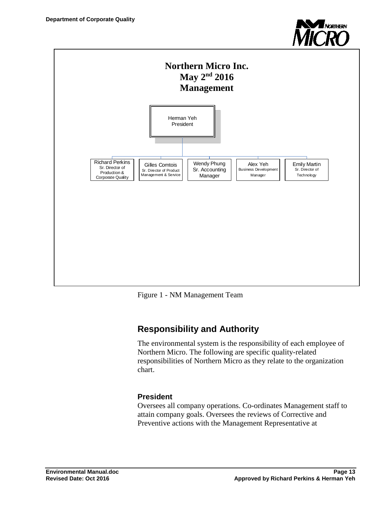



Figure 1 - NM Management Team

## **Responsibility and Authority**

The environmental system is the responsibility of each employee of Northern Micro. The following are specific quality-related responsibilities of Northern Micro as they relate to the organization chart.

#### **President**

Oversees all company operations. Co-ordinates Management staff to attain company goals. Oversees the reviews of Corrective and Preventive actions with the Management Representative at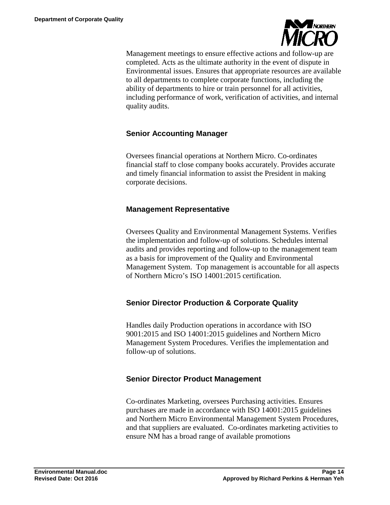

Management meetings to ensure effective actions and follow-up are completed. Acts as the ultimate authority in the event of dispute in Environmental issues. Ensures that appropriate resources are available to all departments to complete corporate functions, including the ability of departments to hire or train personnel for all activities, including performance of work, verification of activities, and internal quality audits.

#### **Senior Accounting Manager**

Oversees financial operations at Northern Micro. Co-ordinates financial staff to close company books accurately. Provides accurate and timely financial information to assist the President in making corporate decisions.

#### **Management Representative**

Oversees Quality and Environmental Management Systems. Verifies the implementation and follow-up of solutions. Schedules internal audits and provides reporting and follow-up to the management team as a basis for improvement of the Quality and Environmental Management System. Top management is accountable for all aspects of Northern Micro's ISO 14001:2015 certification.

#### **Senior Director Production & Corporate Quality**

Handles daily Production operations in accordance with ISO 9001:2015 and ISO 14001:2015 guidelines and Northern Micro Management System Procedures. Verifies the implementation and follow-up of solutions.

#### **Senior Director Product Management**

Co-ordinates Marketing, oversees Purchasing activities. Ensures purchases are made in accordance with ISO 14001:2015 guidelines and Northern Micro Environmental Management System Procedures, and that suppliers are evaluated. Co-ordinates marketing activities to ensure NM has a broad range of available promotions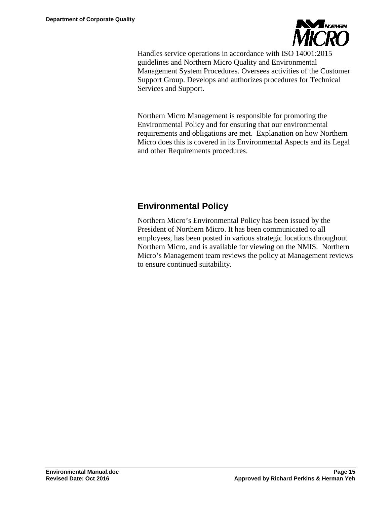

Handles service operations in accordance with ISO 14001:2015 guidelines and Northern Micro Quality and Environmental Management System Procedures. Oversees activities of the Customer Support Group. Develops and authorizes procedures for Technical Services and Support.

Northern Micro Management is responsible for promoting the Environmental Policy and for ensuring that our environmental requirements and obligations are met. Explanation on how Northern Micro does this is covered in its Environmental Aspects and its Legal and other Requirements procedures.

## **Environmental Policy**

Northern Micro's Environmental Policy has been issued by the President of Northern Micro. It has been communicated to all employees, has been posted in various strategic locations throughout Northern Micro, and is available for viewing on the NMIS. Northern Micro's Management team reviews the policy at Management reviews to ensure continued suitability.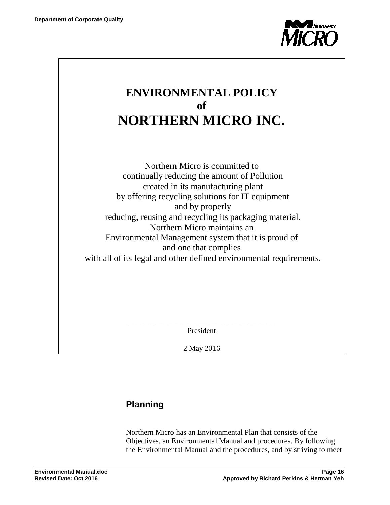

# **ENVIRONMENTAL POLICY of NORTHERN MICRO INC.**

Northern Micro is committed to continually reducing the amount of Pollution created in its manufacturing plant by offering recycling solutions for IT equipment and by properly reducing, reusing and recycling its packaging material. Northern Micro maintains an Environmental Management system that it is proud of and one that complies with all of its legal and other defined environmental requirements.

> \_\_\_\_\_\_\_\_\_\_\_\_\_\_\_\_\_\_\_\_\_\_\_\_\_\_\_\_\_\_\_\_\_\_\_\_\_\_ President

> > 2 May 2016

## **Planning**

Northern Micro has an Environmental Plan that consists of the Objectives, an Environmental Manual and procedures. By following the Environmental Manual and the procedures, and by striving to meet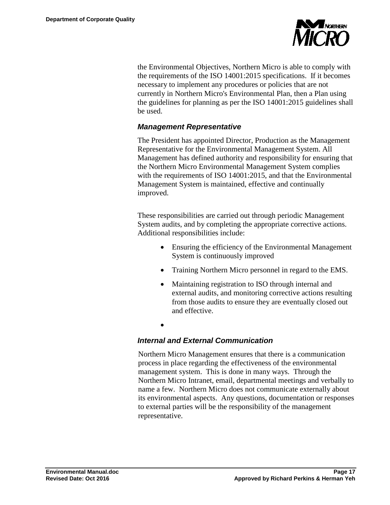

the Environmental Objectives, Northern Micro is able to comply with the requirements of the ISO 14001:2015 specifications. If it becomes necessary to implement any procedures or policies that are not currently in Northern Micro's Environmental Plan, then a Plan using the guidelines for planning as per the ISO 14001:2015 guidelines shall be used.

#### *Management Representative*

The President has appointed Director, Production as the Management Representative for the Environmental Management System. All Management has defined authority and responsibility for ensuring that the Northern Micro Environmental Management System complies with the requirements of ISO 14001:2015, and that the Environmental Management System is maintained, effective and continually improved.

These responsibilities are carried out through periodic Management System audits, and by completing the appropriate corrective actions. Additional responsibilities include:

- Ensuring the efficiency of the Environmental Management System is continuously improved
- Training Northern Micro personnel in regard to the EMS.
- Maintaining registration to ISO through internal and external audits, and monitoring corrective actions resulting from those audits to ensure they are eventually closed out and effective.
- •

#### *Internal and External Communication*

Northern Micro Management ensures that there is a communication process in place regarding the effectiveness of the environmental management system. This is done in many ways. Through the Northern Micro Intranet, email, departmental meetings and verbally to name a few. Northern Micro does not communicate externally about its environmental aspects. Any questions, documentation or responses to external parties will be the responsibility of the management representative.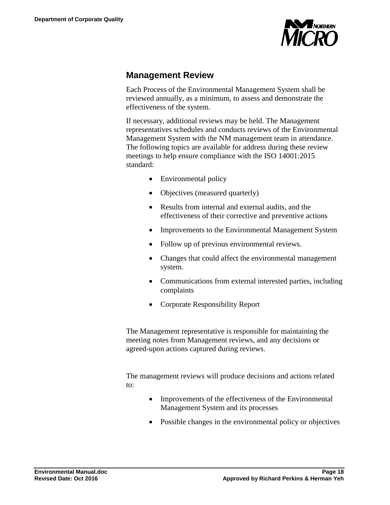

### **Management Review**

Each Process of the Environmental Management System shall be reviewed annually, as a minimum, to assess and demonstrate the effectiveness of the system.

If necessary, additional reviews may be held. The Management representatives schedules and conducts reviews of the Environmental Management System with the NM management team in attendance. The following topics are available for address during these review meetings to help ensure compliance with the ISO 14001:2015 standard:

- Environmental policy
- Objectives (measured quarterly)
- Results from internal and external audits, and the effectiveness of their corrective and preventive actions
- Improvements to the Environmental Management System
- Follow up of previous environmental reviews.
- Changes that could affect the environmental management system.
- Communications from external interested parties, including complaints
- Corporate Responsibility Report

The Management representative is responsible for maintaining the meeting notes from Management reviews, and any decisions or agreed-upon actions captured during reviews.

The management reviews will produce decisions and actions related to:

- Improvements of the effectiveness of the Environmental Management System and its processes
- Possible changes in the environmental policy or objectives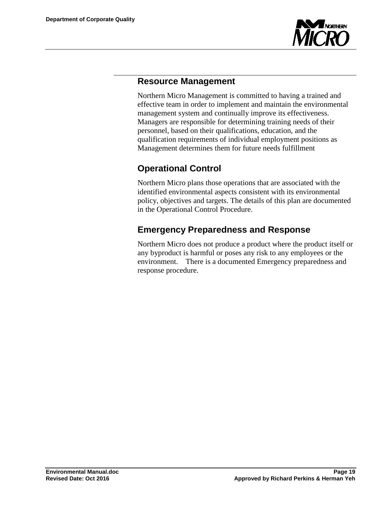

#### **Resource Management**

Northern Micro Management is committed to having a trained and effective team in order to implement and maintain the environmental management system and continually improve its effectiveness. Managers are responsible for determining training needs of their personnel, based on their qualifications, education, and the qualification requirements of individual employment positions as Management determines them for future needs fulfillment

## **Operational Control**

Northern Micro plans those operations that are associated with the identified environmental aspects consistent with its environmental policy, objectives and targets. The details of this plan are documented in the Operational Control Procedure.

## **Emergency Preparedness and Response**

Northern Micro does not produce a product where the product itself or any byproduct is harmful or poses any risk to any employees or the environment. There is a documented Emergency preparedness and response procedure.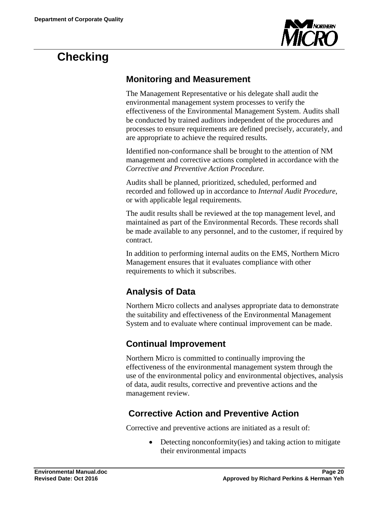

# **Checking**

## **Monitoring and Measurement**

The Management Representative or his delegate shall audit the environmental management system processes to verify the effectiveness of the Environmental Management System. Audits shall be conducted by trained auditors independent of the procedures and processes to ensure requirements are defined precisely, accurately, and are appropriate to achieve the required results.

Identified non-conformance shall be brought to the attention of NM management and corrective actions completed in accordance with the *Corrective and Preventive Action Procedure.*

Audits shall be planned, prioritized, scheduled, performed and recorded and followed up in accordance to *Internal Audit Procedure*, or with applicable legal requirements.

The audit results shall be reviewed at the top management level, and maintained as part of the Environmental Records. These records shall be made available to any personnel, and to the customer, if required by contract.

In addition to performing internal audits on the EMS, Northern Micro Management ensures that it evaluates compliance with other requirements to which it subscribes.

# **Analysis of Data**

Northern Micro collects and analyses appropriate data to demonstrate the suitability and effectiveness of the Environmental Management System and to evaluate where continual improvement can be made.

## **Continual Improvement**

Northern Micro is committed to continually improving the effectiveness of the environmental management system through the use of the environmental policy and environmental objectives, analysis of data, audit results, corrective and preventive actions and the management review.

## **Corrective Action and Preventive Action**

Corrective and preventive actions are initiated as a result of:

• Detecting nonconformity(ies) and taking action to mitigate their environmental impacts